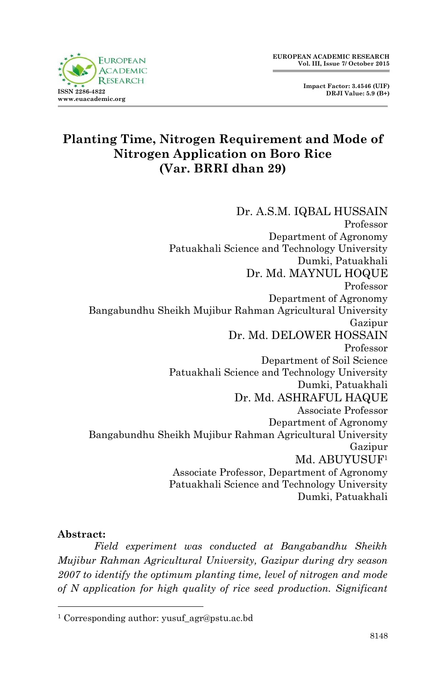

# **Planting Time, Nitrogen Requirement and Mode of Nitrogen Application on Boro Rice (Var. BRRI dhan 29)**

Dr. A.S.M. IQBAL HUSSAIN Professor Department of Agronomy Patuakhali Science and Technology University Dumki, Patuakhali Dr. Md. MAYNUL HOQUE Professor Department of Agronomy Bangabundhu Sheikh Mujibur Rahman Agricultural University Gazipur Dr. Md. DELOWER HOSSAIN Professor Department of Soil Science Patuakhali Science and Technology University Dumki, Patuakhali Dr. Md. ASHRAFUL HAQUE Associate Professor Department of Agronomy Bangabundhu Sheikh Mujibur Rahman Agricultural University Gazipur Md. ABUYUSUF<sup>1</sup> Associate Professor, Department of Agronomy Patuakhali Science and Technology University Dumki, Patuakhali

#### **Abstract:**

1

*Field experiment was conducted at Bangabandhu Sheikh Mujibur Rahman Agricultural University, Gazipur during dry season 2007 to identify the optimum planting time, level of nitrogen and mode of N application for high quality of rice seed production. Significant* 

<sup>&</sup>lt;sup>1</sup> Corresponding author: yusuf\_agr@pstu.ac.bd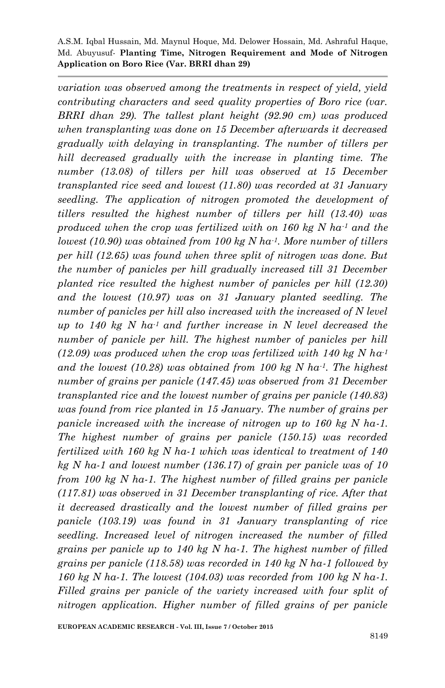*variation was observed among the treatments in respect of yield, yield contributing characters and seed quality properties of Boro rice (var. BRRI dhan 29). The tallest plant height (92.90 cm) was produced when transplanting was done on 15 December afterwards it decreased gradually with delaying in transplanting. The number of tillers per hill decreased gradually with the increase in planting time. The number (13.08) of tillers per hill was observed at 15 December transplanted rice seed and lowest (11.80) was recorded at 31 January seedling. The application of nitrogen promoted the development of tillers resulted the highest number of tillers per hill (13.40) was produced when the crop was fertilized with on 160 kg N ha-1 and the lowest (10.90) was obtained from 100 kg N ha-1. More number of tillers per hill (12.65) was found when three split of nitrogen was done. But the number of panicles per hill gradually increased till 31 December planted rice resulted the highest number of panicles per hill (12.30) and the lowest (10.97) was on 31 January planted seedling. The number of panicles per hill also increased with the increased of N level up to 140 kg N ha-1 and further increase in N level decreased the number of panicle per hill. The highest number of panicles per hill (12.09) was produced when the crop was fertilized with 140 kg N ha-1 and the lowest (10.28) was obtained from 100 kg N ha-1. The highest number of grains per panicle (147.45) was observed from 31 December transplanted rice and the lowest number of grains per panicle (140.83) was found from rice planted in 15 January. The number of grains per panicle increased with the increase of nitrogen up to 160 kg N ha-1. The highest number of grains per panicle (150.15) was recorded fertilized with 160 kg N ha-1 which was identical to treatment of 140 kg N ha-1 and lowest number (136.17) of grain per panicle was of 10 from 100 kg N ha-1. The highest number of filled grains per panicle (117.81) was observed in 31 December transplanting of rice. After that it decreased drastically and the lowest number of filled grains per panicle (103.19) was found in 31 January transplanting of rice seedling. Increased level of nitrogen increased the number of filled grains per panicle up to 140 kg N ha-1. The highest number of filled grains per panicle (118.58) was recorded in 140 kg N ha-1 followed by 160 kg N ha-1. The lowest (104.03) was recorded from 100 kg N ha-1. Filled grains per panicle of the variety increased with four split of nitrogen application. Higher number of filled grains of per panicle*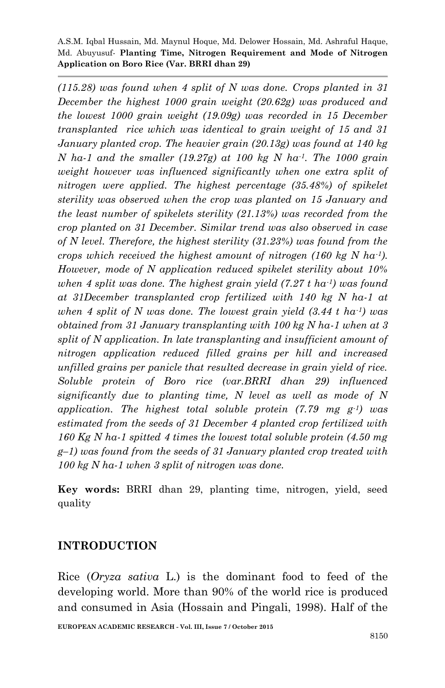*(115.28) was found when 4 split of N was done. Crops planted in 31 December the highest 1000 grain weight (20.62g) was produced and the lowest 1000 grain weight (19.09g) was recorded in 15 December transplanted rice which was identical to grain weight of 15 and 31 January planted crop. The heavier grain (20.13g) was found at 140 kg N ha-1 and the smaller (19.27g) at 100 kg N ha-1. The 1000 grain weight however was influenced significantly when one extra split of nitrogen were applied. The highest percentage (35.48%) of spikelet sterility was observed when the crop was planted on 15 January and the least number of spikelets sterility (21.13%) was recorded from the crop planted on 31 December. Similar trend was also observed in case of N level. Therefore, the highest sterility (31.23%) was found from the crops which received the highest amount of nitrogen (160 kg N ha-1). However, mode of N application reduced spikelet sterility about 10% when 4 split was done. The highest grain yield (7.27 t ha-1) was found at 31December transplanted crop fertilized with 140 kg N ha-1 at when 4 split of N was done. The lowest grain yield (3.44 t ha-1) was obtained from 31 January transplanting with 100 kg N ha-1 when at 3 split of N application. In late transplanting and insufficient amount of nitrogen application reduced filled grains per hill and increased unfilled grains per panicle that resulted decrease in grain yield of rice. Soluble protein of Boro rice (var.BRRI dhan 29) influenced significantly due to planting time, N level as well as mode of N application. The highest total soluble protein (7.79 mg g-1) was estimated from the seeds of 31 December 4 planted crop fertilized with 160 Kg N ha-1 spitted 4 times the lowest total soluble protein (4.50 mg g–1) was found from the seeds of 31 January planted crop treated with 100 kg N ha-1 when 3 split of nitrogen was done.* 

**Key words:** BRRI dhan 29, planting time, nitrogen, yield, seed quality

## **INTRODUCTION**

Rice (*Oryza sativa* L.) is the dominant food to feed of the developing world. More than 90% of the world rice is produced and consumed in Asia (Hossain and Pingali, 1998). Half of the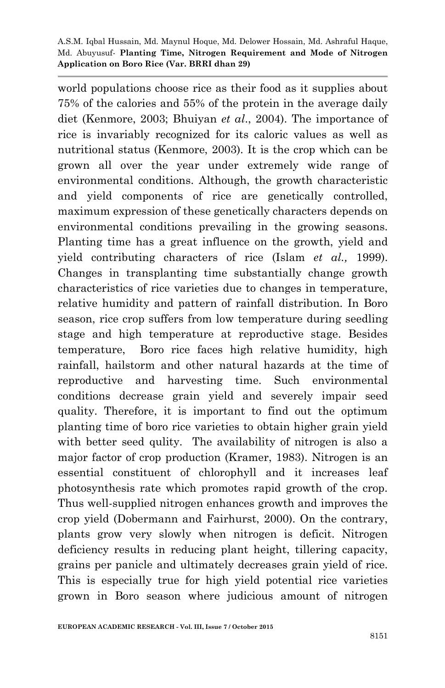world populations choose rice as their food as it supplies about 75% of the calories and 55% of the protein in the average daily diet (Kenmore, 2003; Bhuiyan *et al*., 2004). The importance of rice is invariably recognized for its caloric values as well as nutritional status (Kenmore, 2003). It is the crop which can be grown all over the year under extremely wide range of environmental conditions. Although, the growth characteristic and yield components of rice are genetically controlled, maximum expression of these genetically characters depends on environmental conditions prevailing in the growing seasons. Planting time has a great influence on the growth, yield and yield contributing characters of rice (Islam *et al.,* 1999). Changes in transplanting time substantially change growth characteristics of rice varieties due to changes in temperature, relative humidity and pattern of rainfall distribution. In Boro season, rice crop suffers from low temperature during seedling stage and high temperature at reproductive stage. Besides temperature, Boro rice faces high relative humidity, high rainfall, hailstorm and other natural hazards at the time of reproductive and harvesting time. Such environmental conditions decrease grain yield and severely impair seed quality. Therefore, it is important to find out the optimum planting time of boro rice varieties to obtain higher grain yield with better seed qulity. The availability of nitrogen is also a major factor of crop production (Kramer, 1983). Nitrogen is an essential constituent of chlorophyll and it increases leaf photosynthesis rate which promotes rapid growth of the crop. Thus well-supplied nitrogen enhances growth and improves the crop yield (Dobermann and Fairhurst, 2000). On the contrary, plants grow very slowly when nitrogen is deficit. Nitrogen deficiency results in reducing plant height, tillering capacity, grains per panicle and ultimately decreases grain yield of rice. This is especially true for high yield potential rice varieties grown in Boro season where judicious amount of nitrogen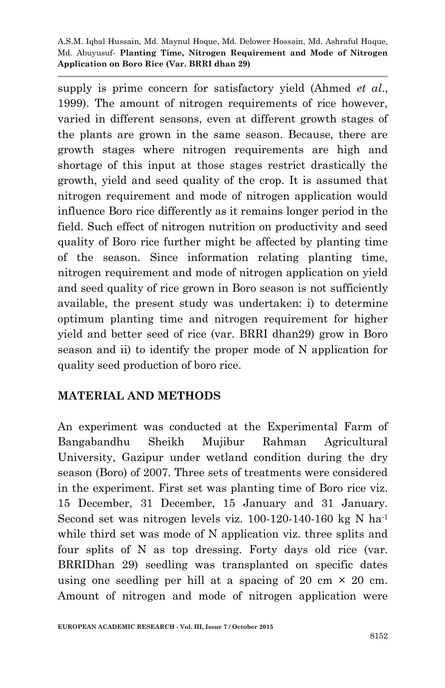supply is prime concern for satisfactory yield (Ahmed *et al*., 1999). The amount of nitrogen requirements of rice however, varied in different seasons, even at different growth stages of the plants are grown in the same season. Because, there are growth stages where nitrogen requirements are high and shortage of this input at those stages restrict drastically the growth, yield and seed quality of the crop. It is assumed that nitrogen requirement and mode of nitrogen application would influence Boro rice differently as it remains longer period in the field. Such effect of nitrogen nutrition on productivity and seed quality of Boro rice further might be affected by planting time of the season. Since information relating planting time, nitrogen requirement and mode of nitrogen application on yield and seed quality of rice grown in Boro season is not sufficiently available, the present study was undertaken: i) to determine optimum planting time and nitrogen requirement for higher yield and better seed of rice (var. BRRI dhan29) grow in Boro season and ii) to identify the proper mode of N application for quality seed production of boro rice.

# **MATERIAL AND METHODS**

An experiment was conducted at the Experimental Farm of Bangabandhu Sheikh Mujibur Rahman Agricultural University, Gazipur under wetland condition during the dry season (Boro) of 2007. Three sets of treatments were considered in the experiment. First set was planting time of Boro rice viz. 15 December, 31 December, 15 January and 31 January. Second set was nitrogen levels viz. 100-120-140-160 kg N ha<sup>-1</sup> while third set was mode of N application viz. three splits and four splits of N as top dressing. Forty days old rice (var. BRRIDhan 29) seedling was transplanted on specific dates using one seedling per hill at a spacing of 20 cm  $\times$  20 cm. Amount of nitrogen and mode of nitrogen application were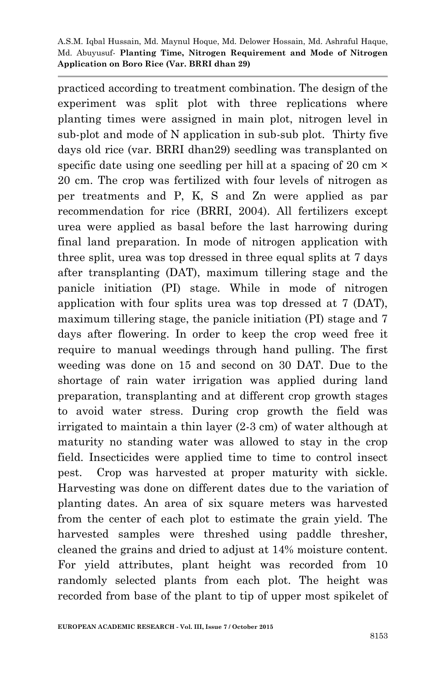practiced according to treatment combination. The design of the experiment was split plot with three replications where planting times were assigned in main plot, nitrogen level in sub-plot and mode of N application in sub-sub plot. Thirty five days old rice (var. BRRI dhan29) seedling was transplanted on specific date using one seedling per hill at a spacing of 20 cm  $\times$ 20 cm. The crop was fertilized with four levels of nitrogen as per treatments and P, K, S and Zn were applied as par recommendation for rice (BRRI, 2004). All fertilizers except urea were applied as basal before the last harrowing during final land preparation. In mode of nitrogen application with three split, urea was top dressed in three equal splits at 7 days after transplanting (DAT), maximum tillering stage and the panicle initiation (PI) stage. While in mode of nitrogen application with four splits urea was top dressed at 7 (DAT), maximum tillering stage, the panicle initiation (PI) stage and 7 days after flowering. In order to keep the crop weed free it require to manual weedings through hand pulling. The first weeding was done on 15 and second on 30 DAT. Due to the shortage of rain water irrigation was applied during land preparation, transplanting and at different crop growth stages to avoid water stress. During crop growth the field was irrigated to maintain a thin layer (2-3 cm) of water although at maturity no standing water was allowed to stay in the crop field. Insecticides were applied time to time to control insect pest. Crop was harvested at proper maturity with sickle. Harvesting was done on different dates due to the variation of planting dates. An area of six square meters was harvested from the center of each plot to estimate the grain yield. The harvested samples were threshed using paddle thresher, cleaned the grains and dried to adjust at 14% moisture content. For yield attributes, plant height was recorded from 10 randomly selected plants from each plot. The height was recorded from base of the plant to tip of upper most spikelet of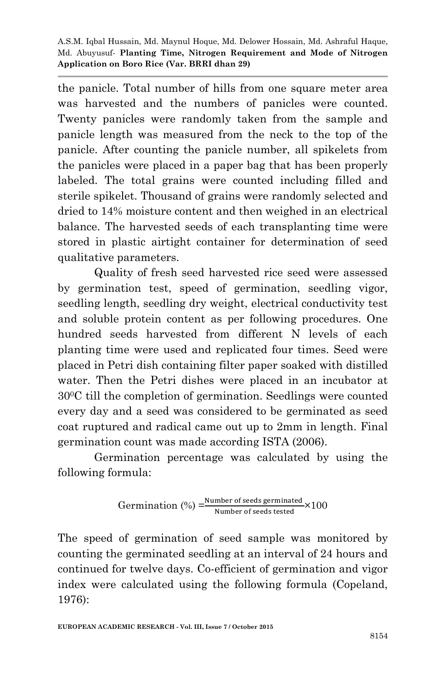the panicle. Total number of hills from one square meter area was harvested and the numbers of panicles were counted. Twenty panicles were randomly taken from the sample and panicle length was measured from the neck to the top of the panicle. After counting the panicle number, all spikelets from the panicles were placed in a paper bag that has been properly labeled. The total grains were counted including filled and sterile spikelet. Thousand of grains were randomly selected and dried to 14% moisture content and then weighed in an electrical balance. The harvested seeds of each transplanting time were stored in plastic airtight container for determination of seed qualitative parameters.

Quality of fresh seed harvested rice seed were assessed by germination test, speed of germination, seedling vigor, seedling length, seedling dry weight, electrical conductivity test and soluble protein content as per following procedures. One hundred seeds harvested from different N levels of each planting time were used and replicated four times. Seed were placed in Petri dish containing filter paper soaked with distilled water. Then the Petri dishes were placed in an incubator at 300C till the completion of germination. Seedlings were counted every day and a seed was considered to be germinated as seed coat ruptured and radical came out up to 2mm in length. Final germination count was made according ISTA (2006).

Germination percentage was calculated by using the following formula:

$$
Germanation (%) = \frac{Number of seeds germinated}{Number of seeds tested} \times 100
$$

The speed of germination of seed sample was monitored by counting the germinated seedling at an interval of 24 hours and continued for twelve days. Co-efficient of germination and vigor index were calculated using the following formula (Copeland, 1976):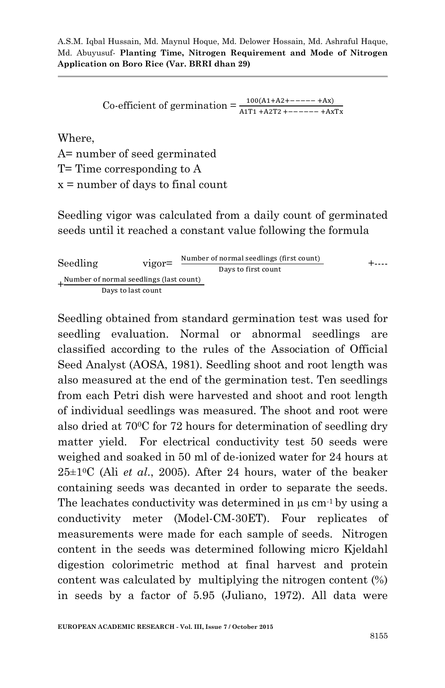Co-efficient of germination  $=\frac{1}{A}$ 

Where,

A= number of seed germinated T= Time corresponding to A x = number of days to final count

Seedling vigor was calculated from a daily count of germinated seeds until it reached a constant value following the formula

Seedling vigor= +---- + 

Seedling obtained from standard germination test was used for seedling evaluation. Normal or abnormal seedlings are classified according to the rules of the Association of Official Seed Analyst (AOSA, 1981). Seedling shoot and root length was also measured at the end of the germination test. Ten seedlings from each Petri dish were harvested and shoot and root length of individual seedlings was measured. The shoot and root were also dried at 700C for 72 hours for determination of seedling dry matter yield. For electrical conductivity test 50 seeds were weighed and soaked in 50 ml of de-ionized water for 24 hours at 25±10C (Ali *et al*., 2005). After 24 hours, water of the beaker containing seeds was decanted in order to separate the seeds. The leachates conductivity was determined in  $\mu$ s cm<sup>-1</sup> by using a conductivity meter (Model-CM-30ET). Four replicates of measurements were made for each sample of seeds. Nitrogen content in the seeds was determined following micro Kjeldahl digestion colorimetric method at final harvest and protein content was calculated by multiplying the nitrogen content (%) in seeds by a factor of 5.95 (Juliano, 1972). All data were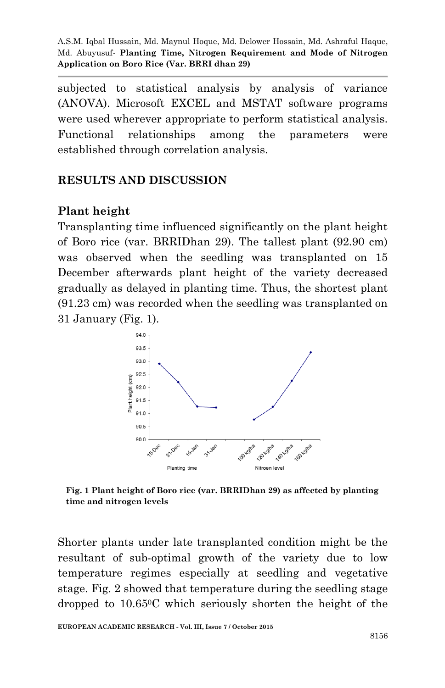subjected to statistical analysis by analysis of variance (ANOVA). Microsoft EXCEL and MSTAT software programs were used wherever appropriate to perform statistical analysis. Functional relationships among the parameters were established through correlation analysis.

# **RESULTS AND DISCUSSION**

# **Plant height**

Transplanting time influenced significantly on the plant height of Boro rice (var. BRRIDhan 29). The tallest plant (92.90 cm) was observed when the seedling was transplanted on 15 December afterwards plant height of the variety decreased gradually as delayed in planting time. Thus, the shortest plant (91.23 cm) was recorded when the seedling was transplanted on 31 January (Fig. 1).



**Fig. 1 Plant height of Boro rice (var. BRRIDhan 29) as affected by planting time and nitrogen levels** 

Shorter plants under late transplanted condition might be the resultant of sub-optimal growth of the variety due to low temperature regimes especially at seedling and vegetative stage. Fig. 2 showed that temperature during the seedling stage dropped to 10.650C which seriously shorten the height of the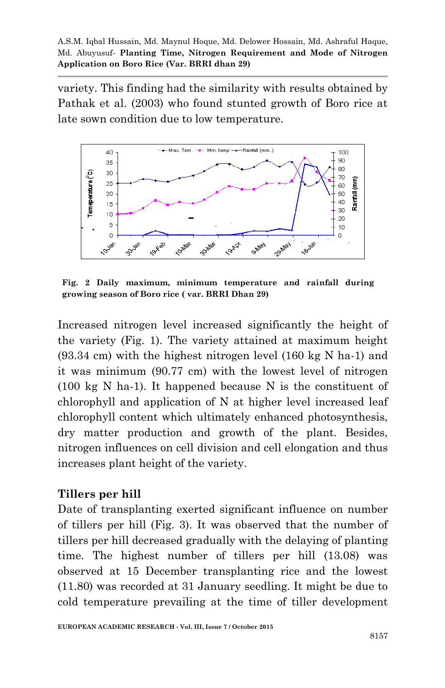variety. This finding had the similarity with results obtained by Pathak et al. (2003) who found stunted growth of Boro rice at late sown condition due to low temperature.



**Fig. 2 Daily maximum, minimum temperature and rainfall during growing season of Boro rice ( var. BRRI Dhan 29)**

Increased nitrogen level increased significantly the height of the variety (Fig. 1). The variety attained at maximum height (93.34 cm) with the highest nitrogen level (160 kg N ha-1) and it was minimum (90.77 cm) with the lowest level of nitrogen (100 kg N ha-1). It happened because N is the constituent of chlorophyll and application of N at higher level increased leaf chlorophyll content which ultimately enhanced photosynthesis, dry matter production and growth of the plant. Besides, nitrogen influences on cell division and cell elongation and thus increases plant height of the variety.

## **Tillers per hill**

Date of transplanting exerted significant influence on number of tillers per hill (Fig. 3). It was observed that the number of tillers per hill decreased gradually with the delaying of planting time. The highest number of tillers per hill (13.08) was observed at 15 December transplanting rice and the lowest (11.80) was recorded at 31 January seedling. It might be due to cold temperature prevailing at the time of tiller development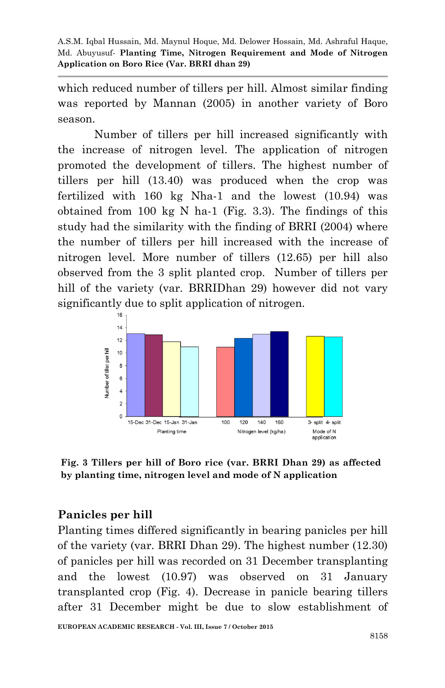which reduced number of tillers per hill. Almost similar finding was reported by Mannan (2005) in another variety of Boro season.

Number of tillers per hill increased significantly with the increase of nitrogen level. The application of nitrogen promoted the development of tillers. The highest number of tillers per hill (13.40) was produced when the crop was fertilized with 160 kg Nha-1 and the lowest (10.94) was obtained from 100 kg N ha-1 (Fig. 3.3). The findings of this study had the similarity with the finding of BRRI (2004) where the number of tillers per hill increased with the increase of nitrogen level. More number of tillers (12.65) per hill also observed from the 3 split planted crop. Number of tillers per hill of the variety (var. BRRIDhan 29) however did not vary significantly due to split application of nitrogen.



**Fig. 3 Tillers per hill of Boro rice (var. BRRI Dhan 29) as affected by planting time, nitrogen level and mode of N application** 

## **Panicles per hill**

Planting times differed significantly in bearing panicles per hill of the variety (var. BRRI Dhan 29). The highest number (12.30) of panicles per hill was recorded on 31 December transplanting and the lowest (10.97) was observed on 31 January transplanted crop (Fig. 4). Decrease in panicle bearing tillers after 31 December might be due to slow establishment of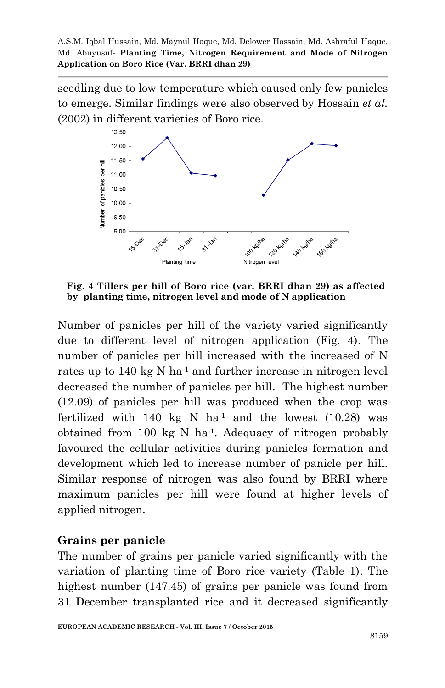seedling due to low temperature which caused only few panicles to emerge. Similar findings were also observed by Hossain *et al.*  (2002) in different varieties of Boro rice.



**Fig. 4 Tillers per hill of Boro rice (var. BRRI dhan 29) as affected by planting time, nitrogen level and mode of N application** 

Number of panicles per hill of the variety varied significantly due to different level of nitrogen application (Fig. 4). The number of panicles per hill increased with the increased of N rates up to  $140 \text{ kg}$  N ha<sup>-1</sup> and further increase in nitrogen level decreased the number of panicles per hill. The highest number (12.09) of panicles per hill was produced when the crop was fertilized with 140 kg N ha<sup>-1</sup> and the lowest  $(10.28)$  was obtained from 100 kg N ha-1 . Adequacy of nitrogen probably favoured the cellular activities during panicles formation and development which led to increase number of panicle per hill. Similar response of nitrogen was also found by BRRI where maximum panicles per hill were found at higher levels of applied nitrogen.

## **Grains per panicle**

The number of grains per panicle varied significantly with the variation of planting time of Boro rice variety (Table 1). The highest number (147.45) of grains per panicle was found from 31 December transplanted rice and it decreased significantly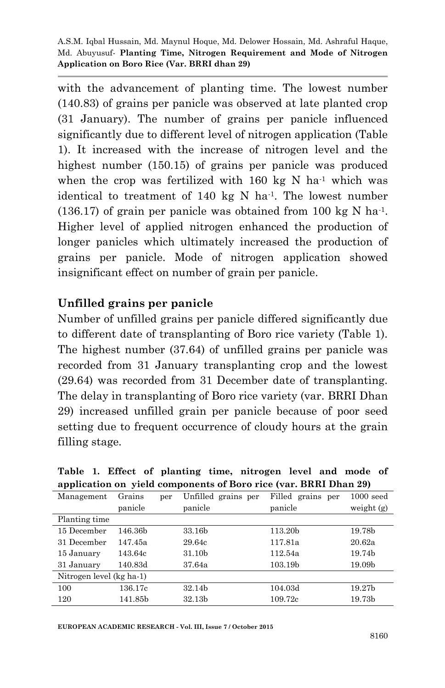with the advancement of planting time. The lowest number (140.83) of grains per panicle was observed at late planted crop (31 January). The number of grains per panicle influenced significantly due to different level of nitrogen application (Table 1). It increased with the increase of nitrogen level and the highest number (150.15) of grains per panicle was produced when the crop was fertilized with  $160 \text{ kg}$  N ha<sup>-1</sup> which was identical to treatment of 140 kg N ha-1 . The lowest number  $(136.17)$  of grain per panicle was obtained from 100 kg N ha<sup>-1</sup>. Higher level of applied nitrogen enhanced the production of longer panicles which ultimately increased the production of grains per panicle. Mode of nitrogen application showed insignificant effect on number of grain per panicle.

## **Unfilled grains per panicle**

Number of unfilled grains per panicle differed significantly due to different date of transplanting of Boro rice variety (Table 1). The highest number (37.64) of unfilled grains per panicle was recorded from 31 January transplanting crop and the lowest (29.64) was recorded from 31 December date of transplanting. The delay in transplanting of Boro rice variety (var. BRRI Dhan 29) increased unfilled grain per panicle because of poor seed setting due to frequent occurrence of cloudy hours at the grain filling stage.

|                          |         |     | application on yield components of Boro rice (var. BRRI Dhan 25) |                   |              |
|--------------------------|---------|-----|------------------------------------------------------------------|-------------------|--------------|
| Management               | Grains  | per | Unfilled grains per                                              | Filled grains per | $1000$ seed  |
|                          | panicle |     | panicle                                                          | panicle           | weight $(g)$ |
| Planting time            |         |     |                                                                  |                   |              |
| 15 December              | 146.36b |     | 33.16b                                                           | 113.20b           | 19.78b       |
| 31 December              | 147.45a |     | 29.64c                                                           | 117.81a           | 20.62a       |
| 15 January               | 143.64c |     | 31.10b                                                           | 112.54a           | 19.74b       |
| 31 January               | 140.83d |     | 37.64a                                                           | 103.19b           | 19.09b       |
| Nitrogen level (kg ha-1) |         |     |                                                                  |                   |              |
| 100                      | 136.17c |     | 32.14b                                                           | 104.03d           | 19.27b       |
| 120                      | 141.85b |     | 32.13b                                                           | 109.72c           | 19.73b       |

**Table 1. Effect of planting time, nitrogen level and mode of application on yield components of Boro rice (var. BRRI Dhan 29)**

**EUROPEAN ACADEMIC RESEARCH - Vol. III, Issue 7 / October 2015**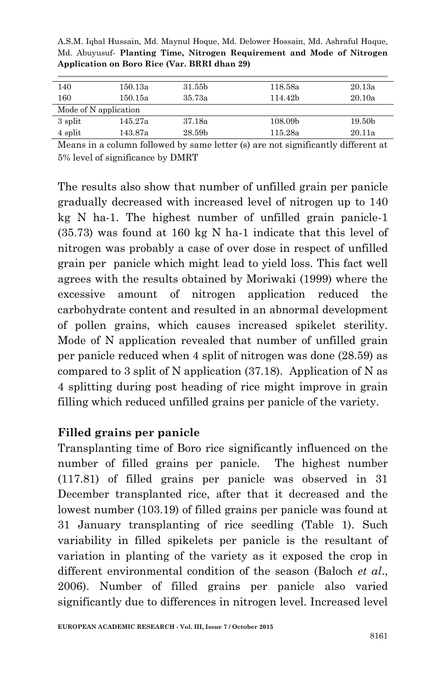| 140                   | 150.13a | 31.55b                          | 118.58a | 20.13a |
|-----------------------|---------|---------------------------------|---------|--------|
| 160                   | 150.15a | 35.73a                          | 114.42b | 20.10a |
| Mode of N application |         |                                 |         |        |
| 3 split               | 145.27a | 37.18a                          | 108.09b | 19.50b |
| 4 split               | 143.87a | 28.59b                          | 115.28a | 20.11a |
|                       | ----    | $-$<br><b>STATE OF BUILDING</b> | ____    | - - -  |

A.S.M. Iqbal Hussain, Md. Maynul Hoque, Md. Delower Hossain, Md. Ashraful Haque, Md. Abuyusuf*-* **Planting Time, Nitrogen Requirement and Mode of Nitrogen Application on Boro Rice (Var. BRRI dhan 29)**

Means in a column followed by same letter (s) are not significantly different at 5% level of significance by DMRT

The results also show that number of unfilled grain per panicle gradually decreased with increased level of nitrogen up to 140 kg N ha-1. The highest number of unfilled grain panicle-1 (35.73) was found at 160 kg N ha-1 indicate that this level of nitrogen was probably a case of over dose in respect of unfilled grain per panicle which might lead to yield loss. This fact well agrees with the results obtained by Moriwaki (1999) where the excessive amount of nitrogen application reduced the carbohydrate content and resulted in an abnormal development of pollen grains, which causes increased spikelet sterility. Mode of N application revealed that number of unfilled grain per panicle reduced when 4 split of nitrogen was done (28.59) as compared to 3 split of N application  $(37.18)$ . Application of N as 4 splitting during post heading of rice might improve in grain filling which reduced unfilled grains per panicle of the variety.

## **Filled grains per panicle**

Transplanting time of Boro rice significantly influenced on the number of filled grains per panicle. The highest number (117.81) of filled grains per panicle was observed in 31 December transplanted rice, after that it decreased and the lowest number (103.19) of filled grains per panicle was found at 31 January transplanting of rice seedling (Table 1). Such variability in filled spikelets per panicle is the resultant of variation in planting of the variety as it exposed the crop in different environmental condition of the season (Baloch *et al*., 2006). Number of filled grains per panicle also varied significantly due to differences in nitrogen level. Increased level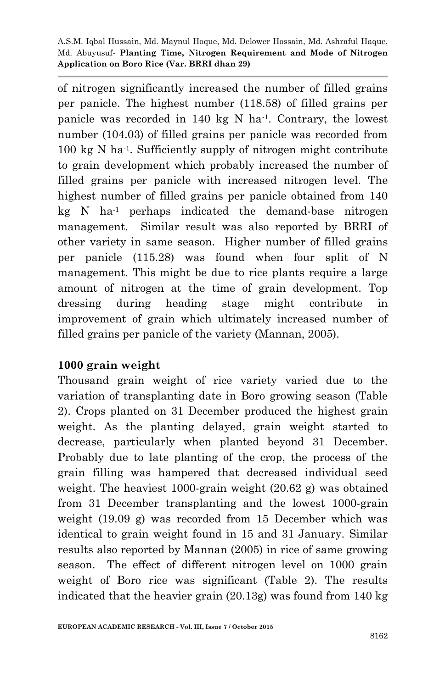of nitrogen significantly increased the number of filled grains per panicle. The highest number (118.58) of filled grains per panicle was recorded in  $140 \text{ kg}$  N ha<sup>-1</sup>. Contrary, the lowest number (104.03) of filled grains per panicle was recorded from 100 kg N ha-1 . Sufficiently supply of nitrogen might contribute to grain development which probably increased the number of filled grains per panicle with increased nitrogen level. The highest number of filled grains per panicle obtained from 140 kg N ha-1 perhaps indicated the demand-base nitrogen management. Similar result was also reported by BRRI of other variety in same season. Higher number of filled grains per panicle (115.28) was found when four split of N management. This might be due to rice plants require a large amount of nitrogen at the time of grain development. Top dressing during heading stage might contribute in improvement of grain which ultimately increased number of filled grains per panicle of the variety (Mannan, 2005).

## **1000 grain weight**

Thousand grain weight of rice variety varied due to the variation of transplanting date in Boro growing season (Table 2). Crops planted on 31 December produced the highest grain weight. As the planting delayed, grain weight started to decrease, particularly when planted beyond 31 December. Probably due to late planting of the crop, the process of the grain filling was hampered that decreased individual seed weight. The heaviest 1000-grain weight (20.62 g) was obtained from 31 December transplanting and the lowest 1000-grain weight (19.09 g) was recorded from 15 December which was identical to grain weight found in 15 and 31 January. Similar results also reported by Mannan (2005) in rice of same growing season. The effect of different nitrogen level on 1000 grain weight of Boro rice was significant (Table 2). The results indicated that the heavier grain (20.13g) was found from 140 kg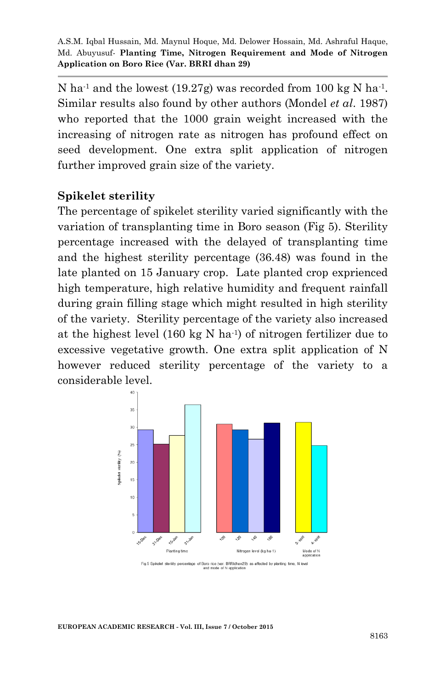N ha<sup>-1</sup> and the lowest (19.27g) was recorded from 100 kg N ha<sup>-1</sup>. Similar results also found by other authors (Mondel *et al*. 1987) who reported that the 1000 grain weight increased with the increasing of nitrogen rate as nitrogen has profound effect on seed development. One extra split application of nitrogen further improved grain size of the variety.

## **Spikelet sterility**

The percentage of spikelet sterility varied significantly with the variation of transplanting time in Boro season (Fig 5). Sterility percentage increased with the delayed of transplanting time and the highest sterility percentage (36.48) was found in the late planted on 15 January crop. Late planted crop exprienced high temperature, high relative humidity and frequent rainfall during grain filling stage which might resulted in high sterility of the variety. Sterility percentage of the variety also increased at the highest level  $(160 \text{ kg N} \text{ ha}^{-1})$  of nitrogen fertilizer due to excessive vegetative growth. One extra split application of N however reduced sterility percentage of the variety to a considerable level.



Fig.5 Spikelet sterility percentage of Boro rice (var. BRRIdhan29) as affected by planting time, N level and mode of N application

**EUROPEAN ACADEMIC RESEARCH - Vol. III, Issue 7 / October 2015**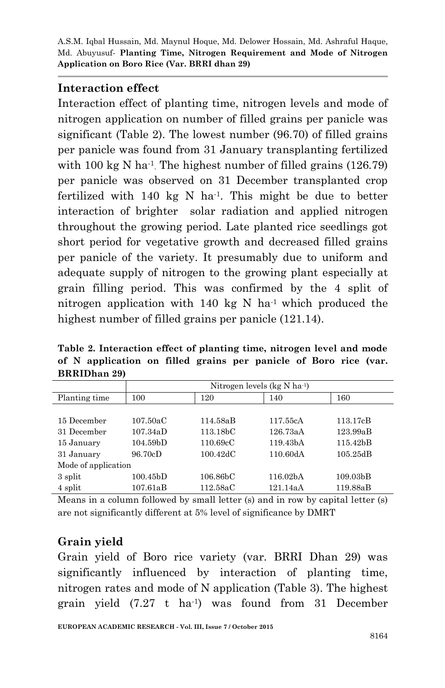#### **Interaction effect**

Interaction effect of planting time, nitrogen levels and mode of nitrogen application on number of filled grains per panicle was significant (Table 2). The lowest number (96.70) of filled grains per panicle was found from 31 January transplanting fertilized with 100 kg N ha<sup>-1</sup>. The highest number of filled grains  $(126.79)$ per panicle was observed on 31 December transplanted crop fertilized with 140 kg N ha-1 . This might be due to better interaction of brighter solar radiation and applied nitrogen throughout the growing period. Late planted rice seedlings got short period for vegetative growth and decreased filled grains per panicle of the variety. It presumably due to uniform and adequate supply of nitrogen to the growing plant especially at grain filling period. This was confirmed by the 4 split of nitrogen application with 140 kg N ha<sup>-1</sup> which produced the highest number of filled grains per panicle (121.14).

**Table 2. Interaction effect of planting time, nitrogen level and mode of N application on filled grains per panicle of Boro rice (var. BRRIDhan 29)**

|                     |                       | Nitrogen levels ( $kg N ha^{-1}$ ) |                       |                       |  |  |  |  |  |  |  |
|---------------------|-----------------------|------------------------------------|-----------------------|-----------------------|--|--|--|--|--|--|--|
| Planting time       | 100                   | 120                                | 140                   | 160                   |  |  |  |  |  |  |  |
|                     |                       |                                    |                       |                       |  |  |  |  |  |  |  |
| 15 December         | 107.50aC              | 114.58aB                           | 117.55cA              | 113.17cB              |  |  |  |  |  |  |  |
| 31 December         | 107.34aD              | 113.18 <sub>b</sub> C              | 126.73aA              | 123.99aB              |  |  |  |  |  |  |  |
| 15 January          | 104.59 <sub>b</sub> D | 110.69cC                           | 119.43 <sub>b</sub> A | 115.42bB              |  |  |  |  |  |  |  |
| 31 January          | 96.70cD               | $100.42 \text{d} \text{C}$         | 110.60dA              | 105.25dB              |  |  |  |  |  |  |  |
| Mode of application |                       |                                    |                       |                       |  |  |  |  |  |  |  |
| 3 split             | $100.45{\rm bD}$      | 106.86 <sub>b</sub> C              | 116.02 <sub>b</sub> A | 109.03 <sub>b</sub> B |  |  |  |  |  |  |  |
| 4 split             | 107.61aB              | 112.58aC                           | 121.14aA              | 119.88aB              |  |  |  |  |  |  |  |

Means in a column followed by small letter (s) and in row by capital letter (s) are not significantly different at 5% level of significance by DMRT

# **Grain yield**

Grain yield of Boro rice variety (var. BRRI Dhan 29) was significantly influenced by interaction of planting time, nitrogen rates and mode of N application (Table 3). The highest grain yield (7.27 t ha-1 ) was found from 31 December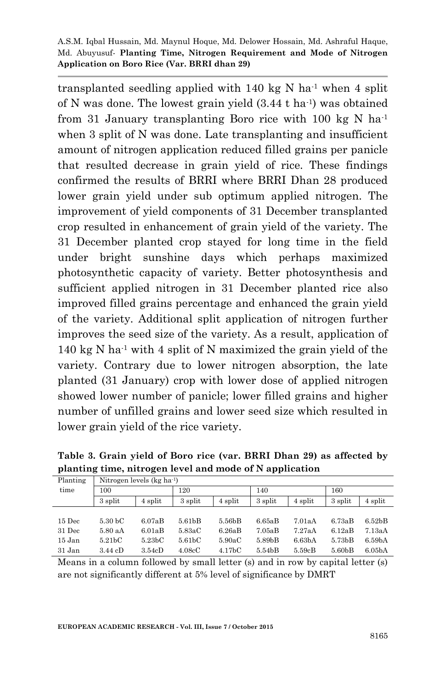transplanted seedling applied with  $140 \text{ kg}$  N ha<sup>-1</sup> when 4 split of N was done. The lowest grain yield (3.44 t ha-1 ) was obtained from 31 January transplanting Boro rice with 100 kg N ha<sup>-1</sup> when 3 split of N was done. Late transplanting and insufficient amount of nitrogen application reduced filled grains per panicle that resulted decrease in grain yield of rice. These findings confirmed the results of BRRI where BRRI Dhan 28 produced lower grain yield under sub optimum applied nitrogen. The improvement of yield components of 31 December transplanted crop resulted in enhancement of grain yield of the variety. The 31 December planted crop stayed for long time in the field under bright sunshine days which perhaps maximized photosynthetic capacity of variety. Better photosynthesis and sufficient applied nitrogen in 31 December planted rice also improved filled grains percentage and enhanced the grain yield of the variety. Additional split application of nitrogen further improves the seed size of the variety. As a result, application of 140 kg N ha-1 with 4 split of N maximized the grain yield of the variety. Contrary due to lower nitrogen absorption, the late planted (31 January) crop with lower dose of applied nitrogen showed lower number of panicle; lower filled grains and higher number of unfilled grains and lower seed size which resulted in lower grain yield of the rice variety.

| Planting | Nitrogen levels ( $kg$ ha <sup>-1</sup> ) |                     |                     |                     |         |                     |                     |                     |  |  |
|----------|-------------------------------------------|---------------------|---------------------|---------------------|---------|---------------------|---------------------|---------------------|--|--|
| time     | 100                                       |                     | 120                 |                     | 140     |                     | 160                 |                     |  |  |
|          | 3 split                                   | 4 split             | 3 split             | 4 split             | 3 split | 4 split             | 3 split             | 4 split             |  |  |
|          |                                           |                     |                     |                     |         |                     |                     |                     |  |  |
| $15$ Dec | 5.30 <sub>b</sub> C                       | 6.07aB              | 5.61 <sub>b</sub> B | 5.56bB              | 6.65aB  | 7.01aA              | 6.73aB              | 6.52 <sub>b</sub> B |  |  |
| 31 Dec   | 5.80aA                                    | 6.01aB              | 5.83aC              | 6.26aB              | 7.05aB  | 7.27aA              | 6.12aB              | 7.13aA              |  |  |
| 15 Jan   | 5.21 <sub>b</sub> C                       | 5.23 <sub>b</sub> C | 5.61 <sub>b</sub> C | 5.90aC              | 5.89bB  | 6.63 <sub>b</sub> A | 5.73 <sub>b</sub> B | 6.59 <sub>b</sub> A |  |  |
| 31 Jan   | 3.44 cD                                   | 3.54cD              | 4.08cC              | 4.17 <sub>b</sub> C | 5.54bB  | 5.59cB              | 5.60 <sub>b</sub> B | 6.05 <sub>b</sub> A |  |  |
|          |                                           |                     |                     |                     |         |                     |                     |                     |  |  |

**Table 3. Grain yield of Boro rice (var. BRRI Dhan 29) as affected by planting time, nitrogen level and mode of N application** 

Means in a column followed by small letter (s) and in row by capital letter (s) are not significantly different at 5% level of significance by DMRT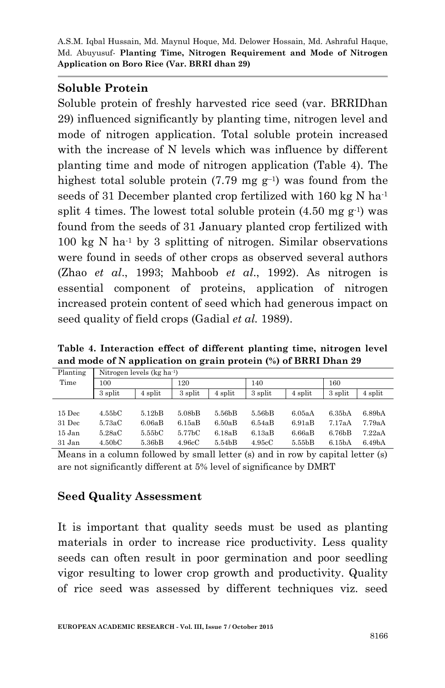## **Soluble Protein**

Soluble protein of freshly harvested rice seed (var. BRRIDhan 29) influenced significantly by planting time, nitrogen level and mode of nitrogen application. Total soluble protein increased with the increase of N levels which was influence by different planting time and mode of nitrogen application (Table 4). The highest total soluble protein  $(7.79 \text{ mg g}^{-1})$  was found from the seeds of 31 December planted crop fertilized with 160 kg N ha<sup>-1</sup> split 4 times. The lowest total soluble protein  $(4.50 \text{ mg g}^{-1})$  was found from the seeds of 31 January planted crop fertilized with  $100 \text{ kg}$  N ha<sup>-1</sup> by 3 splitting of nitrogen. Similar observations were found in seeds of other crops as observed several authors (Zhao *et al*., 1993; Mahboob *et al*., 1992). As nitrogen is essential component of proteins, application of nitrogen increased protein content of seed which had generous impact on seed quality of field crops (Gadial *et al.* 1989).

**Table 4. Interaction effect of different planting time, nitrogen level and mode of N application on grain protein (%) of BRRI Dhan 29**

| Planting | Nitrogen levels ( $kg \text{ ha}^{-1}$ ) |                     |                     |         |         |         |                     |                    |  |  |
|----------|------------------------------------------|---------------------|---------------------|---------|---------|---------|---------------------|--------------------|--|--|
| Time     | 100                                      |                     | 120                 |         | 140     |         | 160                 |                    |  |  |
|          | 3 split                                  | 4 split             | 3 split             | 4 split | 3 split | 4 split | 3 split             | 4 split            |  |  |
|          |                                          |                     |                     |         |         |         |                     |                    |  |  |
| $15$ Dec | $4.55\textrm{bC}$                        | 5.12 <sub>b</sub> B | 5.08 <sub>b</sub> B | 5.56bB  | 5.56bB  | 6.05aA  | 6.35 <sub>b</sub> A | 6.89 <sub>bA</sub> |  |  |
| 31 Dec   | 5.73aC                                   | 6.06aB              | 6.15aB              | 6.50aB  | 6.54aB  | 6.91aB  | 7.17aA              | 7.79aA             |  |  |
| 15 Jan   | 5.28aC                                   | 5.55 <sub>b</sub> C | 5.77bC              | 6.18aB  | 6.13aB  | 6.66aB  | 6.76 <sub>b</sub> B | 7.22aA             |  |  |
| 31 Jan   | 4.50 <sub>b</sub> C                      | 5.36bB              | 4.96cC              | 5.54bB  | 4.95cC  | 5.55bB  | 6.15 <sub>b</sub> A | 6.49 <sub>bA</sub> |  |  |

Means in a column followed by small letter (s) and in row by capital letter (s) are not significantly different at 5% level of significance by DMRT

# **Seed Quality Assessment**

It is important that quality seeds must be used as planting materials in order to increase rice productivity. Less quality seeds can often result in poor germination and poor seedling vigor resulting to lower crop growth and productivity. Quality of rice seed was assessed by different techniques viz. seed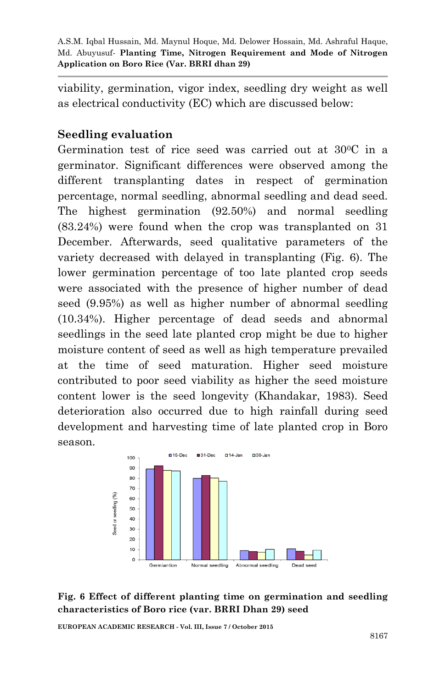viability, germination, vigor index, seedling dry weight as well as electrical conductivity (EC) which are discussed below:

## **Seedling evaluation**

Germination test of rice seed was carried out at 300C in a germinator. Significant differences were observed among the different transplanting dates in respect of germination percentage, normal seedling, abnormal seedling and dead seed. The highest germination (92.50%) and normal seedling (83.24%) were found when the crop was transplanted on 31 December. Afterwards, seed qualitative parameters of the variety decreased with delayed in transplanting (Fig. 6). The lower germination percentage of too late planted crop seeds were associated with the presence of higher number of dead seed (9.95%) as well as higher number of abnormal seedling (10.34%). Higher percentage of dead seeds and abnormal seedlings in the seed late planted crop might be due to higher moisture content of seed as well as high temperature prevailed at the time of seed maturation. Higher seed moisture contributed to poor seed viability as higher the seed moisture content lower is the seed longevity (Khandakar, 1983). Seed deterioration also occurred due to high rainfall during seed development and harvesting time of late planted crop in Boro season.



#### **Fig. 6 Effect of different planting time on germination and seedling characteristics of Boro rice (var. BRRI Dhan 29) seed**

**EUROPEAN ACADEMIC RESEARCH - Vol. III, Issue 7 / October 2015**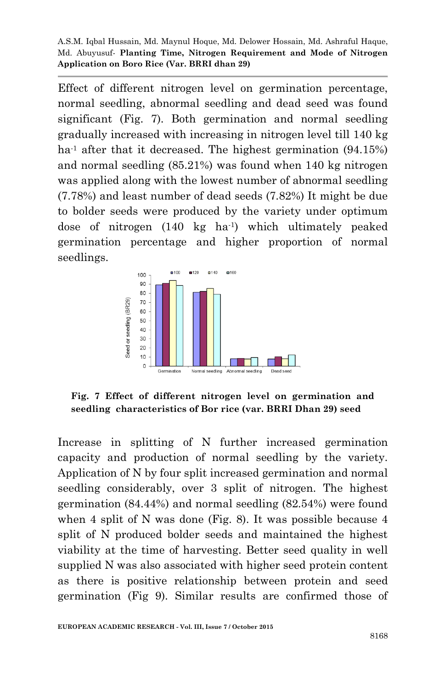Effect of different nitrogen level on germination percentage, normal seedling, abnormal seedling and dead seed was found significant (Fig. 7). Both germination and normal seedling gradually increased with increasing in nitrogen level till 140 kg ha<sup>-1</sup> after that it decreased. The highest germination  $(94.15%)$ and normal seedling (85.21%) was found when 140 kg nitrogen was applied along with the lowest number of abnormal seedling (7.78%) and least number of dead seeds (7.82%) It might be due to bolder seeds were produced by the variety under optimum dose of nitrogen (140 kg ha-1 ) which ultimately peaked germination percentage and higher proportion of normal seedlings.



**Fig. 7 Effect of different nitrogen level on germination and seedling characteristics of Bor rice (var. BRRI Dhan 29) seed**

Increase in splitting of N further increased germination capacity and production of normal seedling by the variety. Application of N by four split increased germination and normal seedling considerably, over 3 split of nitrogen. The highest germination (84.44%) and normal seedling (82.54%) were found when 4 split of N was done (Fig. 8). It was possible because 4 split of N produced bolder seeds and maintained the highest viability at the time of harvesting. Better seed quality in well supplied N was also associated with higher seed protein content as there is positive relationship between protein and seed germination (Fig 9). Similar results are confirmed those of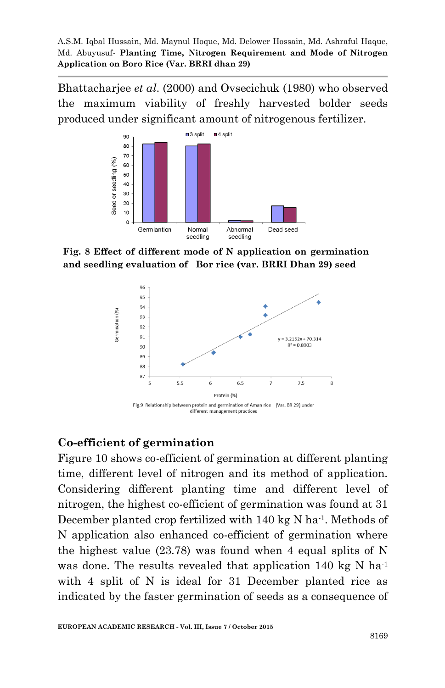Bhattacharjee *et al*. (2000) and Ovsecichuk (1980) who observed the maximum viability of freshly harvested bolder seeds produced under significant amount of nitrogenous fertilizer.



**Fig. 8 Effect of different mode of N application on germination and seedling evaluation of Bor rice (var. BRRI Dhan 29) seed**



#### **Co-efficient of germination**

Figure 10 shows co-efficient of germination at different planting time, different level of nitrogen and its method of application. Considering different planting time and different level of nitrogen, the highest co-efficient of germination was found at 31 December planted crop fertilized with 140 kg N ha<sup>-1</sup>. Methods of N application also enhanced co-efficient of germination where the highest value (23.78) was found when 4 equal splits of N was done. The results revealed that application 140 kg N ha<sup>-1</sup> with 4 split of N is ideal for 31 December planted rice as indicated by the faster germination of seeds as a consequence of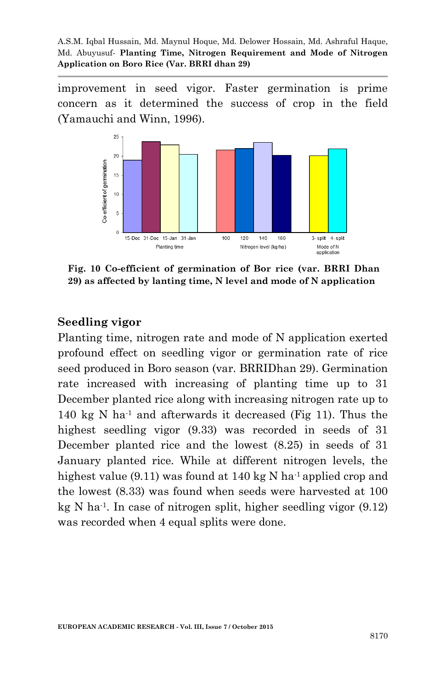improvement in seed vigor. Faster germination is prime concern as it determined the success of crop in the field (Yamauchi and Winn, 1996).



**Fig. 10 Co-efficient of germination of Bor rice (var. BRRI Dhan 29) as affected by lanting time, N level and mode of N application**

#### **Seedling vigor**

Planting time, nitrogen rate and mode of N application exerted profound effect on seedling vigor or germination rate of rice seed produced in Boro season (var. BRRIDhan 29). Germination rate increased with increasing of planting time up to 31 December planted rice along with increasing nitrogen rate up to 140 kg N ha<sup>-1</sup> and afterwards it decreased (Fig 11). Thus the highest seedling vigor (9.33) was recorded in seeds of 31 December planted rice and the lowest (8.25) in seeds of 31 January planted rice. While at different nitrogen levels, the highest value (9.11) was found at 140 kg N ha<sup>-1</sup> applied crop and the lowest (8.33) was found when seeds were harvested at 100 kg N ha-1 . In case of nitrogen split, higher seedling vigor (9.12) was recorded when 4 equal splits were done.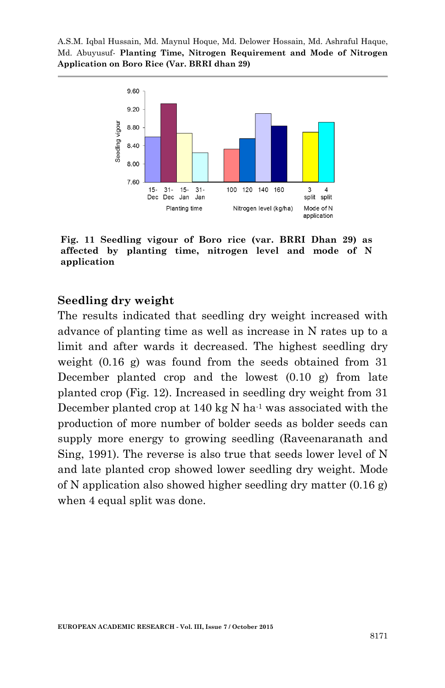

**Fig. 11 Seedling vigour of Boro rice (var. BRRI Dhan 29) as affected by planting time, nitrogen level and mode of N application**

#### **Seedling dry weight**

The results indicated that seedling dry weight increased with advance of planting time as well as increase in N rates up to a limit and after wards it decreased. The highest seedling dry weight (0.16 g) was found from the seeds obtained from 31 December planted crop and the lowest  $(0.10 \text{ g})$  from late planted crop (Fig. 12). Increased in seedling dry weight from 31 December planted crop at  $140 \text{ kg}$  N ha<sup>-1</sup> was associated with the production of more number of bolder seeds as bolder seeds can supply more energy to growing seedling (Raveenaranath and Sing, 1991). The reverse is also true that seeds lower level of N and late planted crop showed lower seedling dry weight. Mode of N application also showed higher seedling dry matter (0.16 g) when 4 equal split was done.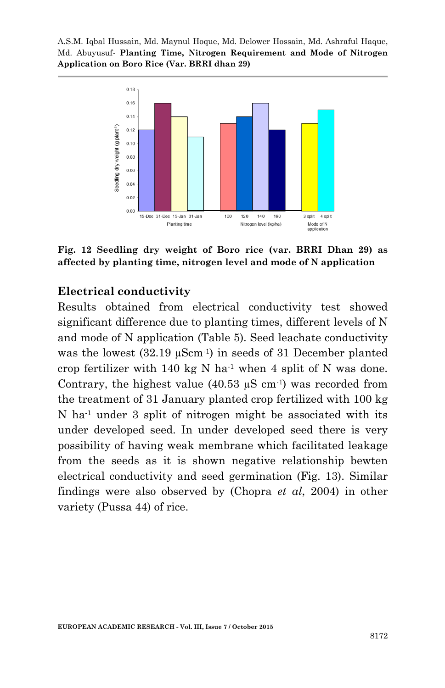

**Fig. 12 Seedling dry weight of Boro rice (var. BRRI Dhan 29) as affected by planting time, nitrogen level and mode of N application**

#### **Electrical conductivity**

Results obtained from electrical conductivity test showed significant difference due to planting times, different levels of N and mode of N application (Table 5). Seed leachate conductivity was the lowest  $(32.19 \mu \text{Scm}^{-1})$  in seeds of 31 December planted crop fertilizer with 140 kg N ha-1 when 4 split of N was done. Contrary, the highest value  $(40.53 \mu S \text{ cm}^{-1})$  was recorded from the treatment of 31 January planted crop fertilized with 100 kg N ha-1 under 3 split of nitrogen might be associated with its under developed seed. In under developed seed there is very possibility of having weak membrane which facilitated leakage from the seeds as it is shown negative relationship bewten electrical conductivity and seed germination (Fig. 13). Similar findings were also observed by (Chopra *et al*, 2004) in other variety (Pussa 44) of rice.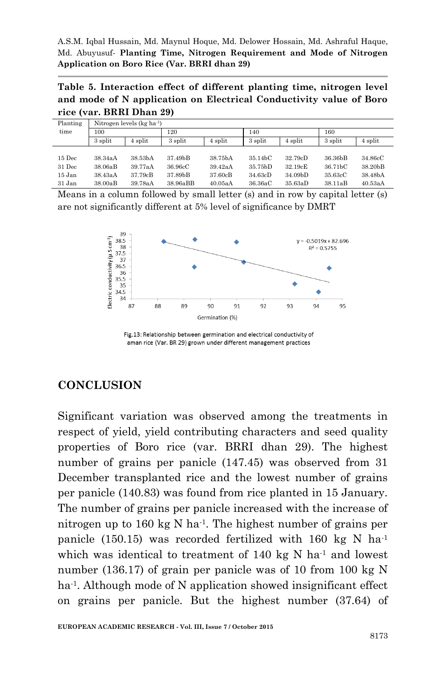**Table 5. Interaction effect of different planting time, nitrogen level and mode of N application on Electrical Conductivity value of Boro rice (var. BRRI Dhan 29)**

| Planting | Nitrogen levels (kg ha <sup>-1</sup> ) |         |          |         |                      |                      |         |         |
|----------|----------------------------------------|---------|----------|---------|----------------------|----------------------|---------|---------|
| time     | 100                                    |         |          | 120     |                      | 140                  |         |         |
|          | 3 split                                | 4 split | 3 split  | 4 split | 3 split              | 4 split              | 3 split | 4 split |
|          |                                        |         |          |         |                      |                      |         |         |
| $15$ Dec | 38.34aA                                | 38.53bA | 37.49bB  | 38.75bA | 35.14 <sub>b</sub> C | 32.79cD              | 36.36bB | 34.86cC |
| 31 Dec   | 38.06aB                                | 39.77aA | 36.96cC  | 39.42aA | 35.75 <sub>b</sub> D | 32.19cE              | 36.71bC | 38.20bB |
| 15 Jan   | 38.43aA                                | 37.79cB | 37.89bB  | 37.60cB | 34.63cD              | 34.09 <sub>b</sub> D | 35.63cC | 38.48bA |
| 31 Jan   | 38.00aB                                | 39.78aA | 38.96aBB | 40.05aA | 36.36aC              | 35.63aD              | 38.11aB | 40.53aA |

Means in a column followed by small letter (s) and in row by capital letter (s) are not significantly different at 5% level of significance by DMRT



Fig.13: Relationship between germination and electrical conductivity of aman rice (Var. BR 29) grown under different management practices

# **CONCLUSION**

Significant variation was observed among the treatments in respect of yield, yield contributing characters and seed quality properties of Boro rice (var. BRRI dhan 29). The highest number of grains per panicle (147.45) was observed from 31 December transplanted rice and the lowest number of grains per panicle (140.83) was found from rice planted in 15 January. The number of grains per panicle increased with the increase of nitrogen up to 160 kg N ha-1 . The highest number of grains per panicle (150.15) was recorded fertilized with 160 kg N ha<sup>-1</sup> which was identical to treatment of 140 kg N ha<sup>-1</sup> and lowest number (136.17) of grain per panicle was of 10 from 100 kg N ha-1 . Although mode of N application showed insignificant effect on grains per panicle. But the highest number (37.64) of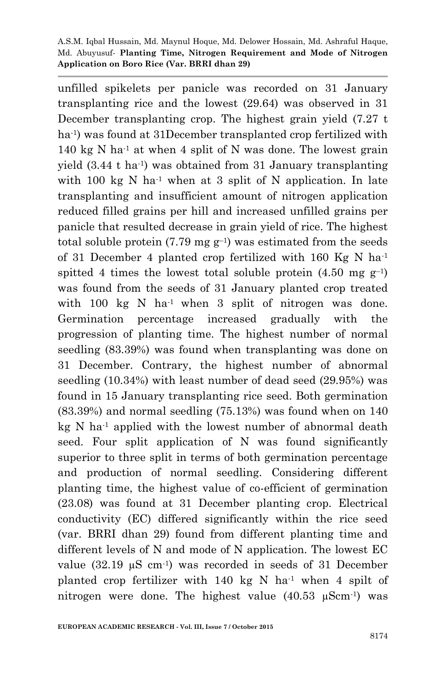unfilled spikelets per panicle was recorded on 31 January transplanting rice and the lowest (29.64) was observed in 31 December transplanting crop. The highest grain yield (7.27 t ha-1 ) was found at 31December transplanted crop fertilized with  $140 \text{ kg N}$  ha<sup>-1</sup> at when 4 split of N was done. The lowest grain yield (3.44 t ha-1 ) was obtained from 31 January transplanting with 100 kg N ha<sup>-1</sup> when at 3 split of N application. In late transplanting and insufficient amount of nitrogen application reduced filled grains per hill and increased unfilled grains per panicle that resulted decrease in grain yield of rice. The highest total soluble protein  $(7.79 \text{ mg g}^{-1})$  was estimated from the seeds of 31 December 4 planted crop fertilized with 160 Kg N ha-1 spitted 4 times the lowest total soluble protein  $(4.50 \text{ mg g}^{-1})$ was found from the seeds of 31 January planted crop treated with 100 kg N ha<sup>-1</sup> when 3 split of nitrogen was done. Germination percentage increased gradually with the progression of planting time. The highest number of normal seedling (83.39%) was found when transplanting was done on 31 December. Contrary, the highest number of abnormal seedling (10.34%) with least number of dead seed (29.95%) was found in 15 January transplanting rice seed. Both germination (83.39%) and normal seedling (75.13%) was found when on 140  $kg N$  ha<sup>-1</sup> applied with the lowest number of abnormal death seed. Four split application of N was found significantly superior to three split in terms of both germination percentage and production of normal seedling. Considering different planting time, the highest value of co-efficient of germination (23.08) was found at 31 December planting crop. Electrical conductivity (EC) differed significantly within the rice seed (var. BRRI dhan 29) found from different planting time and different levels of N and mode of N application. The lowest EC value  $(32.19 \mu S \text{ cm}^{-1})$  was recorded in seeds of 31 December planted crop fertilizer with 140 kg N ha<sup>-1</sup> when 4 spilt of nitrogen were done. The highest value  $(40.53 \mu \text{Scm}^{-1})$  was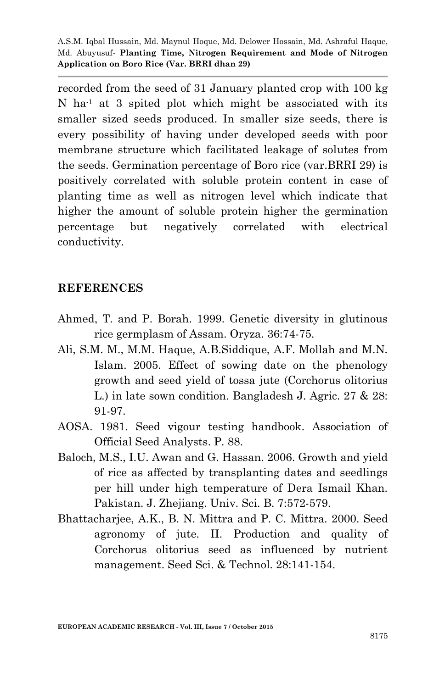recorded from the seed of 31 January planted crop with 100 kg N ha-1 at 3 spited plot which might be associated with its smaller sized seeds produced. In smaller size seeds, there is every possibility of having under developed seeds with poor membrane structure which facilitated leakage of solutes from the seeds. Germination percentage of Boro rice (var.BRRI 29) is positively correlated with soluble protein content in case of planting time as well as nitrogen level which indicate that higher the amount of soluble protein higher the germination percentage but negatively correlated with electrical conductivity.

#### **REFERENCES**

- Ahmed, T. and P. Borah. 1999. Genetic diversity in glutinous rice germplasm of Assam. Oryza. 36:74-75.
- Ali, S.M. M., M.M. Haque, A.B.Siddique, A.F. Mollah and M.N. Islam. 2005. Effect of sowing date on the phenology growth and seed yield of tossa jute (Corchorus olitorius L.) in late sown condition. Bangladesh J. Agric. 27 & 28: 91-97.
- AOSA. 1981. Seed vigour testing handbook. Association of Official Seed Analysts. P. 88.
- Baloch, M.S., I.U. Awan and G. Hassan. 2006. Growth and yield of rice as affected by transplanting dates and seedlings per hill under high temperature of Dera Ismail Khan. Pakistan. J. Zhejiang. Univ. Sci. B. 7:572-579.
- Bhattacharjee, A.K., B. N. Mittra and P. C. Mittra. 2000. Seed agronomy of jute. II. Production and quality of Corchorus olitorius seed as influenced by nutrient management. Seed Sci. & Technol. 28:141-154.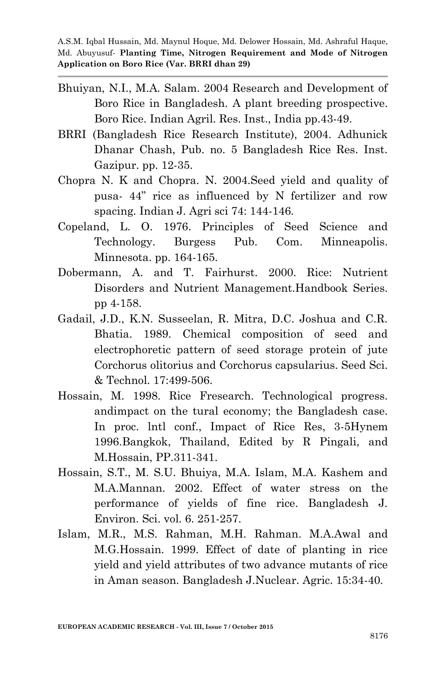- Bhuiyan, N.I., M.A. Salam. 2004 Research and Development of Boro Rice in Bangladesh. A plant breeding prospective. Boro Rice. Indian Agril. Res. Inst., India pp.43-49.
- BRRI (Bangladesh Rice Research Institute), 2004. Adhunick Dhanar Chash, Pub. no. 5 Bangladesh Rice Res. Inst. Gazipur. pp. 12-35.
- Chopra N. K and Chopra. N. 2004.Seed yield and quality of pusa- 44" rice as influenced by N fertilizer and row spacing. Indian J. Agri sci 74: 144-146.
- Copeland, L. O. 1976. Principles of Seed Science and Technology. Burgess Pub. Com. Minneapolis. Minnesota. pp. 164-165.
- Dobermann, A. and T. Fairhurst. 2000. Rice: Nutrient Disorders and Nutrient Management.Handbook Series. pp 4-158.
- Gadail, J.D., K.N. Susseelan, R. Mitra, D.C. Joshua and C.R. Bhatia. 1989. Chemical composition of seed and electrophoretic pattern of seed storage protein of jute Corchorus olitorius and Corchorus capsularius. Seed Sci. & Technol. 17:499-506.
- Hossain, M. 1998. Rice Fresearch. Technological progress. andimpact on the tural economy; the Bangladesh case. In proc. lntl conf., Impact of Rice Res, 3-5Hynem 1996.Bangkok, Thailand, Edited by R Pingali, and M.Hossain, PP.311-341.
- Hossain, S.T., M. S.U. Bhuiya, M.A. Islam, M.A. Kashem and M.A.Mannan. 2002. Effect of water stress on the performance of yields of fine rice. Bangladesh J. Environ. Sci. vol. 6. 251-257.
- Islam, M.R., M.S. Rahman, M.H. Rahman. M.A.Awal and M.G.Hossain. 1999. Effect of date of planting in rice yield and yield attributes of two advance mutants of rice in Aman season. Bangladesh J.Nuclear. Agric. 15:34-40.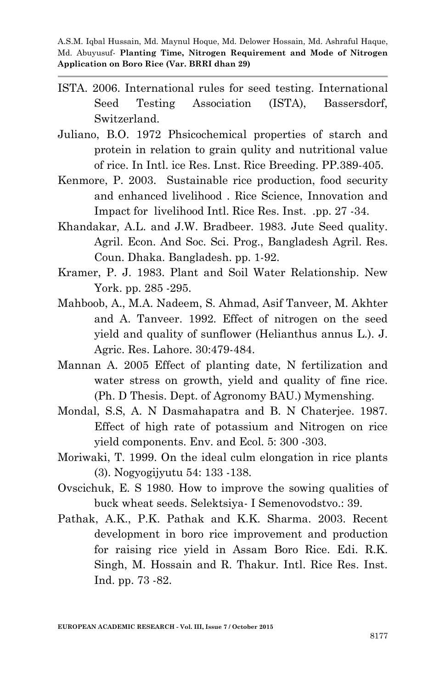- ISTA. 2006. International rules for seed testing. International Seed Testing Association (ISTA), Bassersdorf, Switzerland.
- Juliano, B.O. 1972 Phsicochemical properties of starch and protein in relation to grain qulity and nutritional value of rice. In Intl. ice Res. Lnst. Rice Breeding. PP.389-405.
- Kenmore, P. 2003. Sustainable rice production, food security and enhanced livelihood . Rice Science, Innovation and Impact for livelihood Intl. Rice Res. Inst. .pp. 27 -34.
- Khandakar, A.L. and J.W. Bradbeer. 1983. Jute Seed quality. Agril. Econ. And Soc. Sci. Prog., Bangladesh Agril. Res. Coun. Dhaka. Bangladesh. pp. 1-92.
- Kramer, P. J. 1983. Plant and Soil Water Relationship. New York. pp. 285 -295.
- Mahboob, A., M.A. Nadeem, S. Ahmad, Asif Tanveer, M. Akhter and A. Tanveer. 1992. Effect of nitrogen on the seed yield and quality of sunflower (Helianthus annus L.). J. Agric. Res. Lahore. 30:479-484.
- Mannan A. 2005 Effect of planting date, N fertilization and water stress on growth, yield and quality of fine rice. (Ph. D Thesis. Dept. of Agronomy BAU.) Mymenshing.
- Mondal, S.S, A. N Dasmahapatra and B. N Chaterjee. 1987. Effect of high rate of potassium and Nitrogen on rice yield components. Env. and Ecol. 5: 300 -303.
- Moriwaki, T. 1999. On the ideal culm elongation in rice plants (3). Nogyogijyutu 54: 133 -138.
- Ovscichuk, E. S 1980. How to improve the sowing qualities of buck wheat seeds. Selektsiya- I Semenovodstvo.: 39.
- Pathak, A.K., P.K. Pathak and K.K. Sharma. 2003. Recent development in boro rice improvement and production for raising rice yield in Assam Boro Rice. Edi. R.K. Singh, M. Hossain and R. Thakur. Intl. Rice Res. Inst. Ind. pp. 73 -82.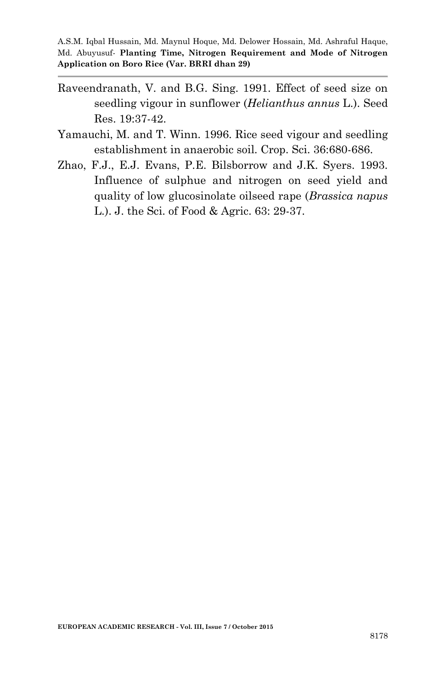- Raveendranath, V. and B.G. Sing. 1991. Effect of seed size on seedling vigour in sunflower (*Helianthus annus* L.). Seed Res. 19:37-42.
- Yamauchi, M. and T. Winn. 1996. Rice seed vigour and seedling establishment in anaerobic soil. Crop. Sci. 36:680-686.
- Zhao, F.J., E.J. Evans, P.E. Bilsborrow and J.K. Syers. 1993. Influence of sulphue and nitrogen on seed yield and quality of low glucosinolate oilseed rape (*Brassica napus* L.). J. the Sci. of Food & Agric. 63: 29-37.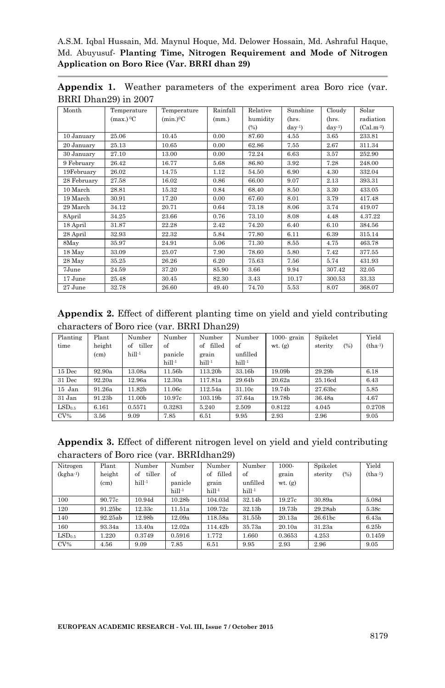A.S.M. Iqbal Hussain, Md. Maynul Hoque, Md. Delower Hossain, Md. Ashraful Haque, Md. Abuyusuf*-* **Planting Time, Nitrogen Requirement and Mode of Nitrogen Application on Boro Rice (Var. BRRI dhan 29)**

**Appendix 1.** Weather parameters of the experiment area Boro rice (var. BRRI Dhan29) in 2007

| Month       | Temperature             | Temperature             | Rainfall | Relative | Sunshine   | Cloudy     | Solar       |
|-------------|-------------------------|-------------------------|----------|----------|------------|------------|-------------|
|             | $(max.)$ <sup>0</sup> C | $(min.)$ <sup>o</sup> C | (mm.)    | humidity | (hrs.      | (hrs.      | radiation   |
|             |                         |                         |          | (%)      | $day^{-1}$ | $day^{-1}$ | $(Cal.m-2)$ |
| 10 January  | 25.06                   | 10.45                   | 0.00     | 87.60    | 4.55       | 3.65       | 233.81      |
| 20 January  | 25.13                   | 10.65                   | 0.00     | 62.86    | 7.55       | 2.67       | 311.34      |
| 30 January  | 27.10                   | 13.00                   | 0.00     | 72.24    | 6.63       | 3.57       | 252.90      |
| 9 February  | 26.42                   | 16.77                   | 5.68     | 86.80    | 3.92       | 7.28       | 248.00      |
| 19February  | 26.02                   | 14.75                   | 1.12     | 54.50    | 6.90       | 4.30       | 332.04      |
| 28 February | 27.58                   | 16.02                   | 0.86     | 66.00    | 9.07       | 2.13       | 393.31      |
| 10 March    | 28.81                   | 15.32                   | 0.84     | 68.40    | 8.50       | 3.30       | 433.05      |
| 19 March    | 30.91                   | 17.20                   | 0.00     | 67.60    | 8.01       | 3.79       | 417.48      |
| 29 March    | 34.12                   | 20.71                   | 0.64     | 73.18    | 8.06       | 3.74       | 419.07      |
| 8April      | 34.25                   | 23.66                   | 0.76     | 73.10    | 8.08       | 4.48       | 4.37.22     |
| 18 April    | 31.87                   | 22.28                   | 2.42     | 74.20    | 6.40       | 6.10       | 384.56      |
| 28 April    | 32.93                   | 22.32                   | 5.84     | 77.80    | 6.11       | 6.39       | 315.14      |
| 8May        | 35.97                   | 24.91                   | 5.06     | 71.30    | 8.55       | 4.75       | 463.78      |
| 18 May      | 33.09                   | 25.07                   | 7.90     | 78.60    | 5.80       | 7.42       | 377.55      |
| 28 May      | 35.25                   | 26.26                   | 6.20     | 75.63    | 7.56       | 5.74       | 431.93      |
| 7June       | 24.59                   | 37.20                   | 85.90    | 3.66     | 9.94       | 307.42     | 32.05       |
| 17 June     | 25.48                   | 30.45                   | 82.30    | 3.43     | 10.17      | 300.53     | 33.33       |
| 27 June     | 32.78                   | 26.60                   | 49.40    | 74.70    | 5.53       | 8.07       | 368.07      |

**Appendix 2.** Effect of different planting time on yield and yield contributing characters of Boro rice (var. BRRI Dhan29)

| Planting           | Plant             | Number             | Number             | Number             | Number             | $1000$ - grain | Spikelet           | Yield     |
|--------------------|-------------------|--------------------|--------------------|--------------------|--------------------|----------------|--------------------|-----------|
| time               | height            | tiller<br>of       | of                 | filled<br>of       | of                 | $wt.$ $(g)$    | (%)<br>sterity     | $(tha-1)$ |
|                    | (c <sub>m</sub> ) | hill <sup>-1</sup> | panicle            | grain              | unfilled           |                |                    |           |
|                    |                   |                    | hill <sup>-1</sup> | hill <sup>-1</sup> | hill <sup>-1</sup> |                |                    |           |
| 15 Dec             | 92.90a            | 13.08a             | 11.56b             | 113.20b            | 33.16b             | 19.09b         | 29.29 <sub>b</sub> | 6.18      |
| 31 Dec             | 92.20a            | 12.96a             | 12.30a             | 117.81a            | 29.64b             | 20.62a         | 25.16cd            | 6.43      |
| 15 Jan             | 91.26a            | 11.82b             | 11.06c             | 112.54a            | 31.10c             | 19.74b         | 27.63bc            | 5.85      |
| 31 Jan             | 91.23b            | 11.00b             | 10.97c             | 103.19b            | 37.64a             | 19.78b         | 36.48a             | 4.67      |
| LSD <sub>0.5</sub> | 6.161             | 0.5571             | 0.3283             | 5.240              | 2.509              | 0.8122         | 4.045              | 0.2708    |
| $CV\%$             | 3.56              | 9.09               | 7.85               | 6.51               | 9.95               | 2.93           | 2.96               | 9.05      |

| <b>Appendix 3.</b> Effect of different nitrogen level on yield and yield contributing |  |  |  |  |  |
|---------------------------------------------------------------------------------------|--|--|--|--|--|
| characters of Boro rice (var. BRRIdhan29)                                             |  |  |  |  |  |

| Nitrogen             | Plant   | Number             | Number             | Number             | Number             | 1000-       | Spikelet            | Yield             |
|----------------------|---------|--------------------|--------------------|--------------------|--------------------|-------------|---------------------|-------------------|
| $(kgha^{-1})$        | height  | tiller<br>of       | of                 | filled<br>of       | of                 | grain       | sterity<br>$(\%)$   | $(tha-1)$         |
|                      | (cm)    | hill <sup>-1</sup> | panicle            | grain              | unfilled           | $wt.$ $(g)$ |                     |                   |
|                      |         |                    | hill <sup>-1</sup> | hill <sup>-1</sup> | hill <sup>-1</sup> |             |                     |                   |
| 100                  | 90.77c  | 10.94d             | 10.28b             | 104.03d            | 32.14b             | 19.27c      | 30.89a              | 5.08d             |
| 120                  | 91.25bc | 12.33c             | 11.51a             | 109.72c            | 32.13b             | 19.73b      | 29.28ab             | 5.38c             |
| 140                  | 92.25ab | 12.98b             | 12.09a             | 118.58a            | 31.55b             | 20.13a      | 26.61 <sub>bc</sub> | 6.43a             |
| 160                  | 93.34a  | 13.40a             | 12.02a             | 114.42b            | 35.73a             | 20.10a      | 31.23a              | 6.25 <sub>b</sub> |
| $\mathrm{LSD}_{0.5}$ | 1.220   | 0.3749             | 0.5916             | 1.772              | 1.660              | 0.3653      | 4.253               | 0.1459            |
| $CV\%$               | 4.56    | 9.09               | 7.85               | 6.51               | 9.95               | 2.93        | 2.96                | 9.05              |